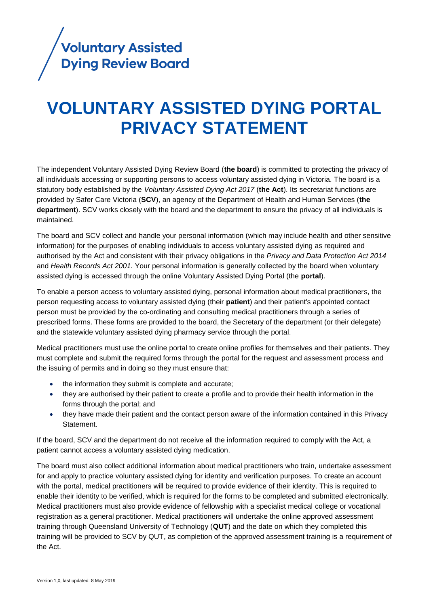

# **VOLUNTARY ASSISTED DYING PORTAL PRIVACY STATEMENT**

The independent Voluntary Assisted Dying Review Board (**the board**) is committed to protecting the privacy of all individuals accessing or supporting persons to access voluntary assisted dying in Victoria. The board is a statutory body established by the *Voluntary Assisted Dying Act 2017* (**the Act**). Its secretariat functions are provided by Safer Care Victoria (**SCV**), an agency of the Department of Health and Human Services (**the department**). SCV works closely with the board and the department to ensure the privacy of all individuals is maintained.

The board and SCV collect and handle your personal information (which may include health and other sensitive information) for the purposes of enabling individuals to access voluntary assisted dying as required and authorised by the Act and consistent with their privacy obligations in the *Privacy and Data Protection Act 2014*  and *Health Records Act 2001.* Your personal information is generally collected by the board when voluntary assisted dying is accessed through the online Voluntary Assisted Dying Portal (the **portal**).

To enable a person access to voluntary assisted dying, personal information about medical practitioners, the person requesting access to voluntary assisted dying (their **patient**) and their patient's appointed contact person must be provided by the co-ordinating and consulting medical practitioners through a series of prescribed forms. These forms are provided to the board, the Secretary of the department (or their delegate) and the statewide voluntary assisted dying pharmacy service through the portal.

Medical practitioners must use the online portal to create online profiles for themselves and their patients. They must complete and submit the required forms through the portal for the request and assessment process and the issuing of permits and in doing so they must ensure that:

- the information they submit is complete and accurate;
- they are authorised by their patient to create a profile and to provide their health information in the forms through the portal; and
- they have made their patient and the contact person aware of the information contained in this Privacy Statement.

If the board, SCV and the department do not receive all the information required to comply with the Act, a patient cannot access a voluntary assisted dying medication.

The board must also collect additional information about medical practitioners who train, undertake assessment for and apply to practice voluntary assisted dying for identity and verification purposes. To create an account with the portal, medical practitioners will be required to provide evidence of their identity. This is required to enable their identity to be verified, which is required for the forms to be completed and submitted electronically. Medical practitioners must also provide evidence of fellowship with a specialist medical college or vocational registration as a general practitioner. Medical practitioners will undertake the online approved assessment training through Queensland University of Technology (**QUT**) and the date on which they completed this training will be provided to SCV by QUT, as completion of the approved assessment training is a requirement of the Act.